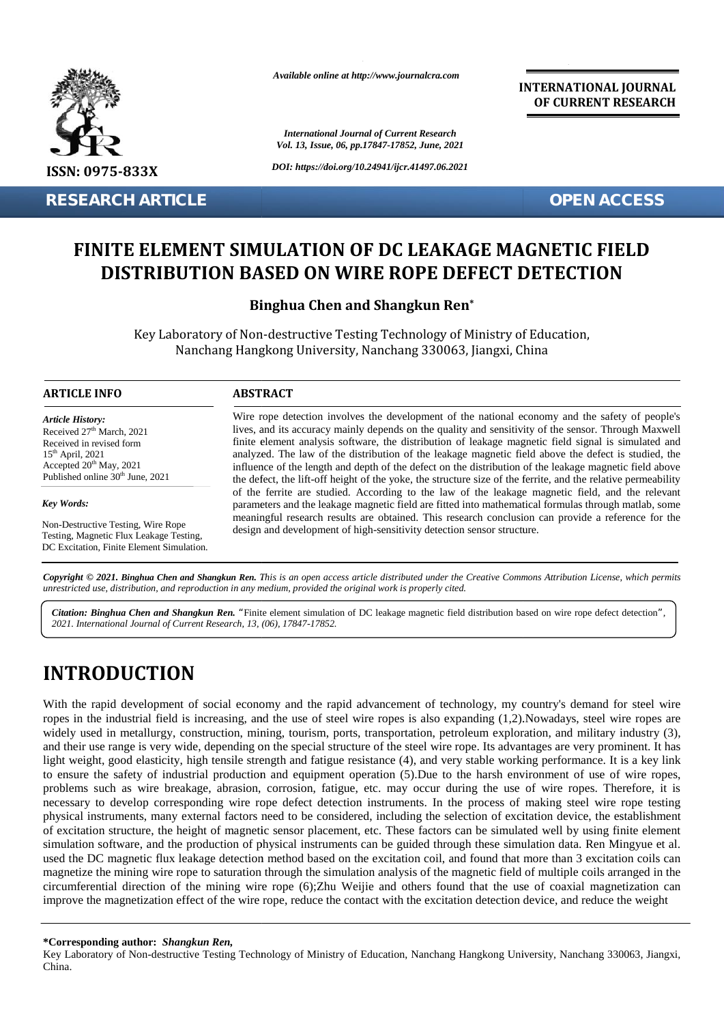

**RESEARCH ARTICLE OPEN ACCESS**

*Available online at http://www.journalcra.com*

*International Journal of Current Research Vol. 13, Issue, 06, pp.17847-17852, June, 2021*

*DOI: https://doi.org/10.24941/ijcr.41497.06.2021*

**INTERNATIONAL JOURNAL OF CURRENT RESEARCH**

## **FINITE ELEMENT SIMULATION OF DC LEAKAGE MAGNETIC FIELD** IITE ELEMENT SIMULATION OF DC LEAKAGE MAGNETIC FIELD<br>DISTRIBUTION BASED ON WIRE ROPE DEFECT DETECTION

## **Binghua Chen and Shangkun Ren\* Shangkun**

Key Laboratory of Non-destructive Testing Technology of Ministry of Education, Nanchang Hangkong University, Nanchang 330063, Jiangxi, China Nanchang 330063,

## **ARTICLE INFO ABSTRACT ARTICLE ABSTRACT**

*Article History:* Received 27<sup>th</sup> March, 2021 Received 27<sup>-</sup> March, 2021<br>Received in revised form 15th April, 2021 Accepted  $20^{th}$  May, 2021 Published online 30<sup>th</sup> June, 2021 **RESEARCH ART<br>
FINITE ELE<br>
DISTRII<br>
Key La<br>
RETICLE INFO<br>
ARTICLE INFO<br>
Article History:<br>
Received 27<sup>th</sup> March, 2021<br>
Accepted 20<sup>th</sup> May, 2021<br>
Accepted 20<sup>th</sup> May, 2021<br>
Accepted 20<sup>th</sup> May, 2021<br>
Published online 30<sup>th**</sup>

### *Key Words:*

Non-Destructive Testing, Wire Rope Testing, Magnetic Flux Leakage Testing, DC Excitation, Finite Element Simulation.

Wire rope detection involves the development of the national economy and the safety of people's lives, and its accuracy mainly depends on the quality and sensitivity of the sensor. Through Maxwell finite element analysis software, the distribution of leakage magnetic field signal is simulated and analyzed. The law of the distribution of the leakage magnetic field above the defect is studied, the influence of the length and depth of the defect on the distribution of the leakage magnetic field above the defect, the lift-off height of the yoke, the structure size of the ferrite, and the relative permeability of the ferrite are studied. According to the law of the leakage magnetic field, and the relevant parameters and the leakage magnetic field are fitted into mathematical formulas through matlab, some meaningful research results are obtained. This research conclusion can provide a reference for the design and development of high-sensitivity detection sensor structure. Wire rope detection involves the development of the national economy and the safety of people's<br>lives, and its accuracy mainly depends on the quality and sensitivity of the sensor. Through Maxwell<br>finite element analysis s Fraction and Shangkun Ren, This is an open access article distribution of leakage may<br>
The method of the element analysis software, the distribution of leakage may<br>
The law of the distribution of the leakage magnetic<br>
The

**Copyright © 2021. Binghua Chen and Shangkun Ren.** This is an open access article distributed under the Creative Commons Attribution License, which permits<br>unrestricted use, distribution, and reproduction in any medium, pr *unrestricted use,distribution, and reproduction in any medium, provided the original work is properly cited.*

Citation: Binghua Chen and Shangkun Ren. "Finite element simulation of DC leakage magnetic field distribution based on wire rope defect detection", *2021. International Journal of Current Research, 13, (06), 17847-17852.*

# **INTRODUCTION INTRODUCTION**

With the rapid development of social economy and the rapid advancement of technology, my country's demand for steel wire ropes in the industrial field is increasing, and the use of steel wire ropes is also expanding (1,2).Nowadays, steel wire ropes are widely used in metallurgy, construction, mining, tourism, ports, transportation, petroleum exploration, and military industry (3), and their use range is very wide, depending on the special structure of the steel wire rope. Its advantages are very prominent. It has light weight, good elasticity, high tensile strength and fatigue resistance (4), and very stable working performance. It is a key link to ensure the safety of industrial production and equipment operation (5).Due to the harsh environment of use of wire ropes, problems such as wire breakage, abrasion, corrosion, fatigue, etc. may occur during the use of wire ropes. Therefore, it is necessary to develop corresponding wire rope defect detection instruments. In the process of making steel wire rope testing physical instruments, many external factors need to be considered, including the selection of excitation device, the establishment of excitation structure, the height of magnetic sensor placement, etc. These factors can be simulated well by using finite element simulation software, and the production of physical instruments can be guided through these simulation data. Ren Mingyue et al. used the DC magnetic flux leakage detection method based on the excitation coil, and found that more than 3 excitation coils can magnetize the mining wire rope to saturation through the simulation analysis of the magnetic field of multiple coils arranged in the circumferential direction of the mining wire rope (6);Zhu Weijie and others found that the use of coaxial magnetization can improve the magnetization effect of the wire rope, reduce the contact with the excitation detection device, and reduce the weight With the rapid development of social economy and the rapid advancement of technology, my country's demand for steel wire<br>ropes in the industrial field is increasing, and the use of steel wire ropes is also expanding (1,2). to ensure the safety of industrial production and equipment operation (5).Due to the harsh environment of use of wire rop<br>problems such as wire breakage, abrasion, corrosion, fatigue, etc. may occur during the use of wire **EXERCISE THE CONSULTER CONSULTER CONSULTER CONSULTER CONSULTER CONSULTER CONSULTER CONSULTER CONSULTER CONSULTER CONSULTER CONSULTER CONSULTER CONSULTER CONSULTER CONSULTER CONSULTER CONSULTER CONSULTER CONSULTER CONSULT** nal factors need to be considered, including<br>of magnetic sensor placement, etc. These<br>luction of physical instruments can be guid<br>ge detection method based on the excitation<br>os aturation through the simulation analysis<br>min

Key Laboratory of Non-destructive Testing Technology of Ministry of Education, Nanchang Hangkong University, Nanchang 330063, Jiangxi, China.

**<sup>\*</sup>Corresponding author:** *Shangkun Ren,* **\*Corresponding**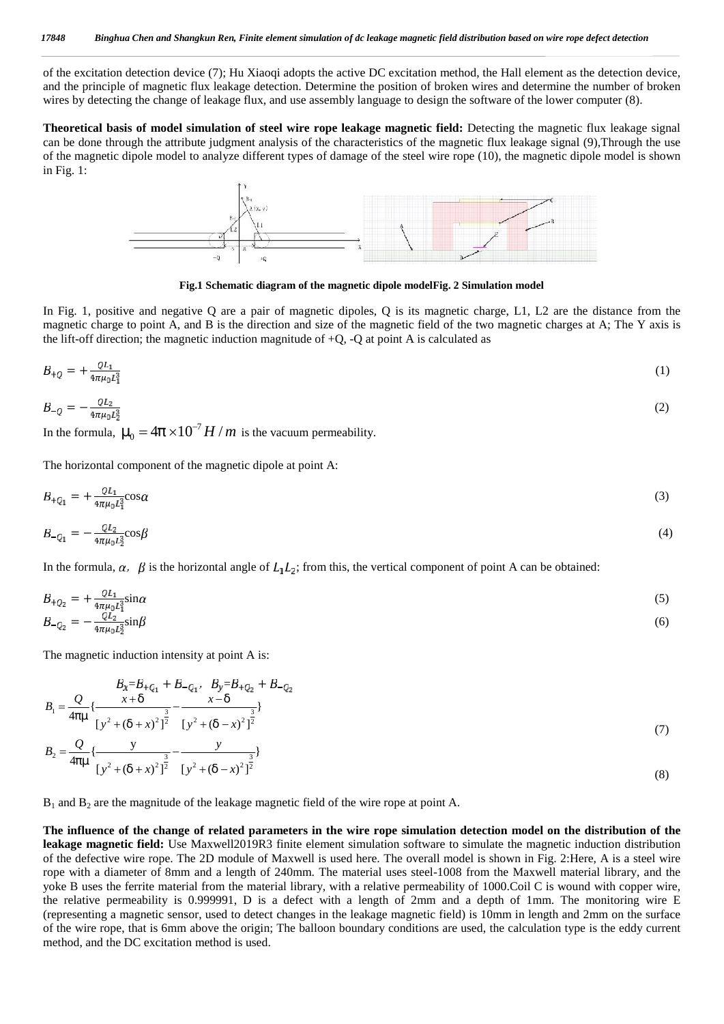of the excitation detection device (7); Hu Xiaoqi adopts the active DC excitation method, the Hall element as the detection device, and the principle of magnetic flux leakage detection. Determine the position of broken wires and determine the number of broken wires by detecting the change of leakage flux, and use assembly language to design the software of the lower computer (8).

**Theoretical basis of model simulation of steel wire rope leakage magnetic field:** Detecting the magnetic flux leakage signal can be done through the attribute judgment analysis of the characteristics of the magnetic flux leakage signal (9),Through the use of the magnetic dipole model to analyze different types of damage of the steel wire rope (10), the magnetic dipole model is shown in Fig. 1:



**Fig.1 Schematic diagram of the magnetic dipole modelFig. 2 Simulation model**

In Fig. 1, positive and negative Q are a pair of magnetic dipoles, Q is its magnetic charge, L1, L2 are the distance from the magnetic charge to point A, and B is the direction and size of the magnetic field of the two magnetic charges at A; The Y axis is the lift-off direction; the magnetic induction magnitude of  $+Q$ ,  $-Q$  at point A is calculated as

$$
B_{+Q} = +\frac{QL_1}{4\pi\mu_0 L_1^3} \tag{1}
$$

$$
B_{-Q} = -\frac{QL_2}{4\pi\mu_0 L_2^3} \tag{2}
$$

In the formula,  $\sim_0 = 4f \times 10^{-7} H/m$  is the vacuum permeability.

The horizontal component of the magnetic dipole at point A:

$$
B_{\pm Q_1} = \pm \frac{QL_1}{4\pi\mu_0 L_1^3} \cos\alpha \tag{3}
$$

$$
B_{-Q_1} = -\frac{Q_{2}}{4\pi\mu_0 L_2^3} \cos\beta \tag{4}
$$

In the formula,  $\alpha$ ,  $\beta$  is the horizontal angle of  $L_1L_2$ ; from this, the vertical component of point A can be obtained:

$$
B_{+Q_2} = +\frac{QL_1}{4\pi\mu_0 L_1^3} \sin \alpha \tag{5}
$$
  

$$
B_{-Q_2} = -\frac{QL_2}{4\pi\mu_0 L_1^3} \sin \beta \tag{6}
$$

The magnetic induction intensity at point A is:

$$
B_{x} = B_{+}Q_{1} + B_{-}Q_{1}, \quad B_{y} = B_{+}Q_{2} + B_{-}Q_{2}
$$
\n
$$
B_{1} = \frac{Q}{4f} \left\{ \frac{x+u}{[y^{2} + (u+x)^{2}]^{\frac{3}{2}}} - \frac{x-u}{[y^{2} + (u-x)^{2}]^{\frac{3}{2}}} \right\}
$$
\n
$$
B_{2} = \frac{Q}{4f} \left\{ \frac{y}{[y^{2} + (u+x)^{2}]^{\frac{3}{2}}} - \frac{y}{[y^{2} + (u-x)^{2}]^{\frac{3}{2}}} \right\}
$$
\n(7)

 $B_1$  and  $B_2$  are the magnitude of the leakage magnetic field of the wire rope at point A.

**The influence of the change of related parameters in the wire rope simulation detection model on the distribution of the leakage magnetic field:** Use Maxwell2019R3 finite element simulation software to simulate the magnetic induction distribution of the defective wire rope. The 2D module of Maxwell is used here. The overall model is shown in Fig. 2:Here, A is a steel wire rope with a diameter of 8mm and a length of 240mm. The material uses steel-1008 from the Maxwell material library, and the yoke B uses the ferrite material from the material library, with a relative permeability of 1000.Coil C is wound with copper wire, the relative permeability is 0.999991, D is a defect with a length of 2mm and a depth of 1mm. The monitoring wire E (representing a magnetic sensor, used to detect changes in the leakage magnetic field) is 10mm in length and 2mm on the surface of the wire rope, that is 6mm above the origin; The balloon boundary conditions are used, the calculation type is the eddy current method, and the DC excitation method is used.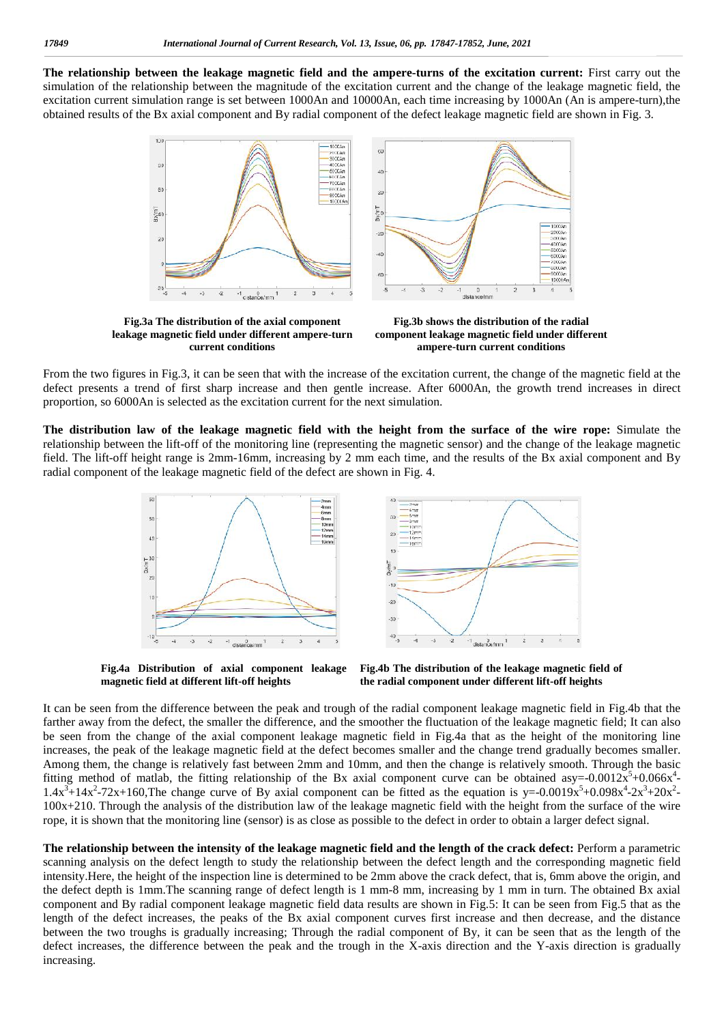**The relationship between the leakage magnetic field and the ampere-turns of the excitation current:** First carry out the simulation of the relationship between the magnitude of the excitation current and the change of the leakage magnetic field, the excitation current simulation range is set between 1000An and 10000An, each time increasing by 1000An (An is ampere-turn),the obtained results of the Bx axial component and By radial component of the defect leakage magnetic field are shown in Fig. 3.



**Fig.3a The distribution of the axial component leakage magnetic field under different ampere-turn current conditions**

**Fig.3b shows the distribution of the radial component leakage magnetic field under different ampere-turn current conditions**

From the two figures in Fig.3, it can be seen that with the increase of the excitation current, the change of the magnetic field at the defect presents a trend of first sharp increase and then gentle increase. After 6000An, the growth trend increases in direct proportion, so 6000An is selected as the excitation current for the next simulation.

**The distribution law of the leakage magnetic field with the height from the surface of the wire rope:** Simulate the relationship between the lift-off of the monitoring line (representing the magnetic sensor) and the change of the leakage magnetic field. The lift-off height range is 2mm-16mm, increasing by 2 mm each time, and the results of the Bx axial component and By radial component of the leakage magnetic field of the defect are shown in Fig. 4.



 $-20$  $-30$  $1$  distance/mm

**Fig.4a Distribution of axial component leakage magnetic field at different lift-off heights**



It can be seen from the difference between the peak and trough of the radial component leakage magnetic field in Fig.4b that the farther away from the defect, the smaller the difference, and the smoother the fluctuation of the leakage magnetic field; It can also be seen from the change of the axial component leakage magnetic field in Fig.4a that as the height of the monitoring line increases, the peak of the leakage magnetic field at the defect becomes smaller and the change trend gradually becomes smaller. Among them, the change is relatively fast between 2mm and 10mm, and then the change is relatively smooth. Through the basic fitting method of matlab, the fitting relationship of the Bx axial component curve can be obtained asy= $-0.0012x^5+0.066x^4$  $1.4x^3+14x^2-72x+160$ , The change curve of By axial component can be fitted as the equation is y=-0.0019x<sup>5</sup>+0.098x<sup>4</sup>-2x<sup>3</sup>+20x<sup>2</sup>-100x+210. Through the analysis of the distribution law of the leakage magnetic field with the height from the surface of the wire rope, it is shown that the monitoring line (sensor) is as close as possible to the defect in order to obtain a larger defect signal.

**The relationship between the intensity of the leakage magnetic field and the length of the crack defect:** Perform a parametric scanning analysis on the defect length to study the relationship between the defect length and the corresponding magnetic field intensity.Here, the height of the inspection line is determined to be 2mm above the crack defect, that is, 6mm above the origin, and the defect depth is 1mm.The scanning range of defect length is 1 mm-8 mm, increasing by 1 mm in turn. The obtained Bx axial component and By radial component leakage magnetic field data results are shown in Fig.5: It can be seen from Fig.5 that as the length of the defect increases, the peaks of the Bx axial component curves first increase and then decrease, and the distance between the two troughs is gradually increasing; Through the radial component of By, it can be seen that as the length of the defect increases, the difference between the peak and the trough in the X-axis direction and the Y-axis direction is gradually increasing.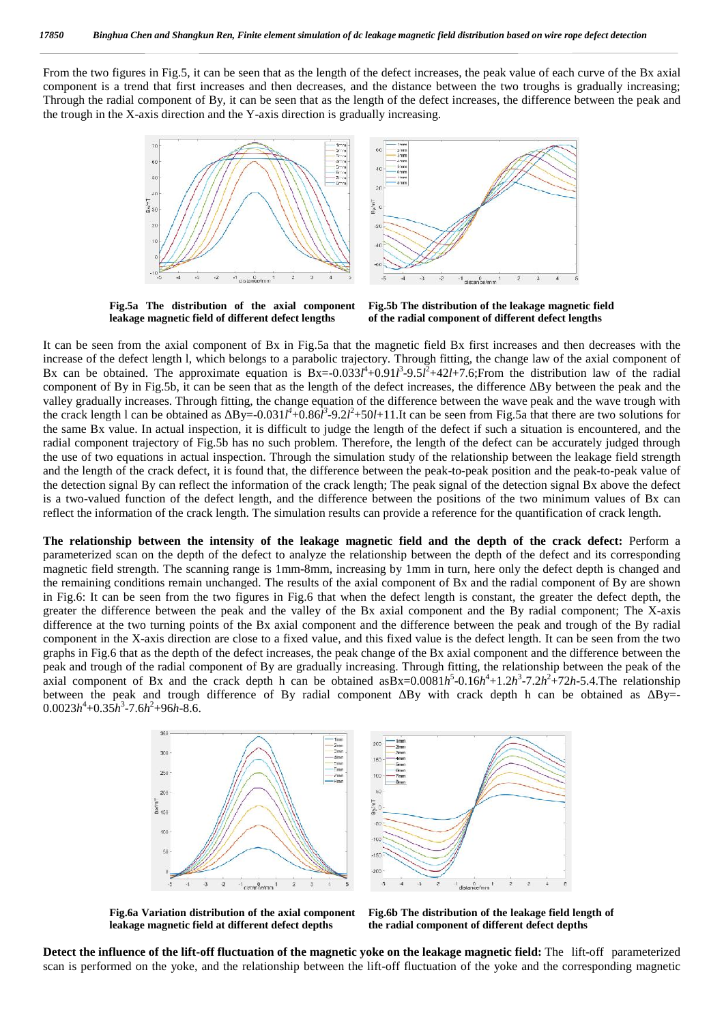From the two figures in Fig.5, it can be seen that as the length of the defect increases, the peak value of each curve of the Bx axial component is a trend that first increases and then decreases, and the distance between the two troughs is gradually increasing; Through the radial component of By, it can be seen that as the length of the defect increases, the difference between the peak and the trough in the X-axis direction and the Y-axis direction is gradually increasing.



**Fig.5a The distribution of the axial component leakage magnetic field of different defect lengths**

**Fig.5b The distribution of the leakage magnetic field of the radial component of different defect lengths**

It can be seen from the axial component of Bx in Fig.5a that the magnetic field Bx first increases and then decreases with the increase of the defect length l, which belongs to a parabolic trajectory. Through fitting, the change law of the axial component of Bx can be obtained. The approximate equation is  $Bx = -0.033l^4 + 0.91l^3 - 9.5l^2 + 42l + 7.6$ ; From the distribution law of the radial component of By in Fig.5b, it can be seen that as the length of the defect increases, the difference By between the peak and the valley gradually increases. Through fitting, the change equation of the difference between the wave peak and the wave trough with the crack length 1 can be obtained as  $By=-0.031l^4+0.86l^3-9.2l^2+50l+11.$  It can be seen from Fig.5a that there are two solutions for the same Bx value. In actual inspection, it is difficult to judge the length of the defect if such a situation is encountered, and the radial component trajectory of Fig.5b has no such problem. Therefore, the length of the defect can be accurately judged through the use of two equations in actual inspection. Through the simulation study of the relationship between the leakage field strength and the length of the crack defect, it is found that, the difference between the peak-to-peak position and the peak-to-peak value of the detection signal By can reflect the information of the crack length; The peak signal of the detection signal Bx above the defect is a two-valued function of the defect length, and the difference between the positions of the two minimum values of Bx can reflect the information of the crack length. The simulation results can provide a reference for the quantification of crack length.

**The relationship between the intensity of the leakage magnetic field and the depth of the crack defect:** Perform a parameterized scan on the depth of the defect to analyze the relationship between the depth of the defect and its corresponding magnetic field strength. The scanning range is 1mm-8mm, increasing by 1mm in turn, here only the defect depth is changed and the remaining conditions remain unchanged. The results of the axial component of Bx and the radial component of By are shown in Fig.6: It can be seen from the two figures in Fig.6 that when the defect length is constant, the greater the defect depth, the greater the difference between the peak and the valley of the Bx axial component and the By radial component; The X-axis difference at the two turning points of the Bx axial component and the difference between the peak and trough of the By radial component in the X-axis direction are close to a fixed value, and this fixed value is the defect length. It can be seen from the two graphs in Fig.6 that as the depth of the defect increases, the peak change of the Bx axial component and the difference between the peak and trough of the radial component of By are gradually increasing. Through fitting, the relationship between the peak of the axial component of Bx and the crack depth h can be obtained asBx=0.0081*h*<sup>5</sup>-0.16*h*<sup>4</sup>+1.2*h*<sup>3</sup>-7.2*h*<sup>2</sup>+72*h*-5.4.The relationship between the peak and trough difference of By radial component  $\overline{B}y$  with crack depth h can be obtained as By=- $0.0023h^4 + 0.35h^3 - 7.6h^2 + 96h - 8.6$ .



**Fig.6a Variation distribution of the axial component**

**leakage magnetic field at different defect depths Fig.6b The distribution of the leakage field length of the radial component of different defect depths**

**Detect the influence of the lift-off fluctuation of the magnetic yoke on the leakage magnetic field:** The lift-off parameterized scan is performed on the yoke, and the relationship between the lift-off fluctuation of the yoke and the corresponding magnetic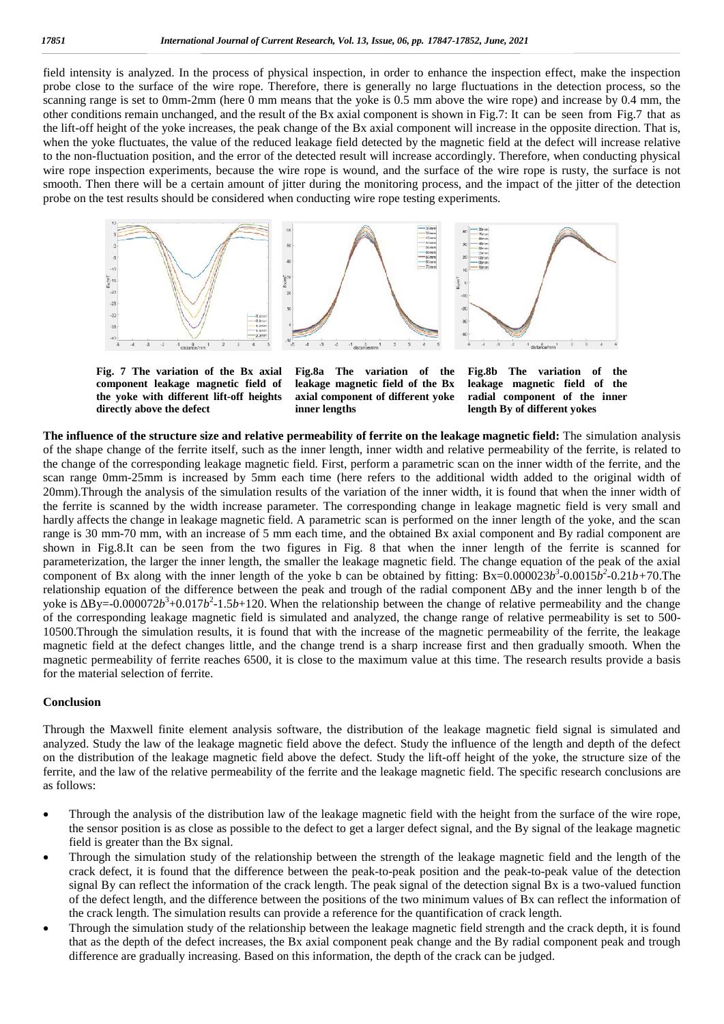field intensity is analyzed. In the process of physical inspection, in order to enhance the inspection effect, make the inspection probe close to the surface of the wire rope. Therefore, there is generally no large fluctuations in the detection process, so the scanning range is set to 0mm-2mm (here 0 mm means that the yoke is 0.5 mm above the wire rope) and increase by 0.4 mm, the other conditions remain unchanged, and the result of the Bx axial component is shown in Fig.7: It can be seen from Fig.7 that as the lift-off height of the yoke increases, the peak change of the Bx axial component will increase in the opposite direction. That is, when the yoke fluctuates, the value of the reduced leakage field detected by the magnetic field at the defect will increase relative to the non-fluctuation position, and the error of the detected result will increase accordingly. Therefore, when conducting physical wire rope inspection experiments, because the wire rope is wound, and the surface of the wire rope is rusty, the surface is not smooth. Then there will be a certain amount of jitter during the monitoring process, and the impact of the jitter of the detection probe on the test results should be considered when conducting wire rope testing experiments.



**Fig. 7 The variation of the Bx axial component leakage magnetic field of the yoke with different lift-off heights directly above the defect**

**Fig.8a The variation of the leakage magnetic field of the Bx axial component of different yoke inner lengths**

**Fig.8b The variation of the leakage magnetic field of the radial component of the inner length By of different yokes**

**The influence of the structure size and relative permeability of ferrite on the leakage magnetic field:** The simulation analysis of the shape change of the ferrite itself, such as the inner length, inner width and relative permeability of the ferrite, is related to the change of the corresponding leakage magnetic field. First, perform a parametric scan on the inner width of the ferrite, and the scan range 0mm-25mm is increased by 5mm each time (here refers to the additional width added to the original width of 20mm).Through the analysis of the simulation results of the variation of the inner width, it is found that when the inner width of the ferrite is scanned by the width increase parameter. The corresponding change in leakage magnetic field is very small and hardly affects the change in leakage magnetic field. A parametric scan is performed on the inner length of the yoke, and the scan range is 30 mm-70 mm, with an increase of 5 mm each time, and the obtained Bx axial component and By radial component are shown in Fig.8.It can be seen from the two figures in Fig. 8 that when the inner length of the ferrite is scanned for parameterization, the larger the inner length, the smaller the leakage magnetic field. The change equation of the peak of the axial component of Bx along with the inner length of the yoke b can be obtained by fitting:  $Bx=0.000023b^3-0.0015b^2-0.21b+70$ . The relationship equation of the difference between the peak and trough of the radial component ∆By and the inner length b of the yoke is  $\vec{By} = 0.000072b^3 + 0.017b^2 - 1.5b + 120$ . When the relationship between the change of relative permeability and the change of the corresponding leakage magnetic field is simulated and analyzed, the change range of relative permeability is set to 500- 10500.Through the simulation results, it is found that with the increase of the magnetic permeability of the ferrite, the leakage magnetic field at the defect changes little, and the change trend is a sharp increase first and then gradually smooth. When the magnetic permeability of ferrite reaches 6500, it is close to the maximum value at this time. The research results provide a basis for the material selection of ferrite.

## **Conclusion**

Through the Maxwell finite element analysis software, the distribution of the leakage magnetic field signal is simulated and analyzed. Study the law of the leakage magnetic field above the defect. Study the influence of the length and depth of the defect on the distribution of the leakage magnetic field above the defect. Study the lift-off height of the yoke, the structure size of the ferrite, and the law of the relative permeability of the ferrite and the leakage magnetic field. The specific research conclusions are as follows:

- Through the analysis of the distribution law of the leakage magnetic field with the height from the surface of the wire rope, the sensor position is as close as possible to the defect to get a larger defect signal, and the By signal of the leakage magnetic field is greater than the Bx signal.
- Through the simulation study of the relationship between the strength of the leakage magnetic field and the length of the crack defect, it is found that the difference between the peak-to-peak position and the peak-to-peak value of the detection signal By can reflect the information of the crack length. The peak signal of the detection signal Bx is a two-valued function of the defect length, and the difference between the positions of the two minimum values of Bx can reflect the information of the crack length. The simulation results can provide a reference for the quantification of crack length.
- Through the simulation study of the relationship between the leakage magnetic field strength and the crack depth, it is found that as the depth of the defect increases, the Bx axial component peak change and the By radial component peak and trough difference are gradually increasing. Based on this information, the depth of the crack can be judged.